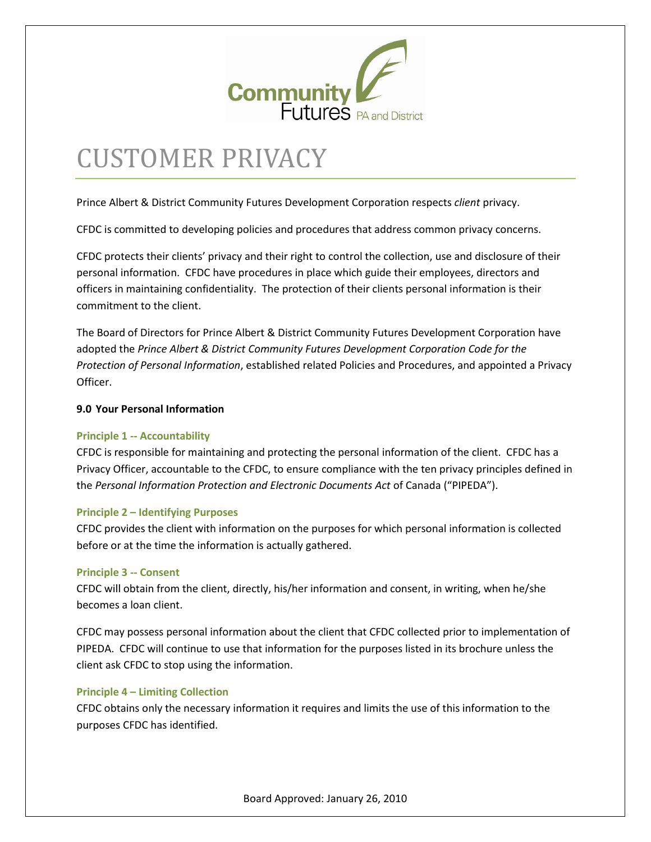

# CUSTOMER PRIVACY

Prince Albert & District Community Futures Development Corporation respects *client* privacy.

CFDC is committed to developing policies and procedures that address common privacy concerns.

CFDC protects their clients' privacy and their right to control the collection, use and disclosure of their personal information. CFDC have procedures in place which guide their employees, directors and officers in maintaining confidentiality. The protection of their clients personal information is their commitment to the client.

The Board of Directors for Prince Albert & District Community Futures Development Corporation have adopted the *Prince Albert & District Community Futures Development Corporation Code for the Protection of Personal Information*, established related Policies and Procedures, and appointed a Privacy Officer.

## **9.0 Your Personal Information**

## **Principle 1 -- Accountability**

CFDC is responsible for maintaining and protecting the personal information of the client. CFDC has a Privacy Officer, accountable to the CFDC, to ensure compliance with the ten privacy principles defined in the *Personal Information Protection and Electronic Documents Act* of Canada ("PIPEDA").

#### **Principle 2 – Identifying Purposes**

CFDC provides the client with information on the purposes for which personal information is collected before or at the time the information is actually gathered.

#### **Principle 3 -- Consent**

CFDC will obtain from the client, directly, his/her information and consent, in writing, when he/she becomes a loan client.

CFDC may possess personal information about the client that CFDC collected prior to implementation of PIPEDA. CFDC will continue to use that information for the purposes listed in its brochure unless the client ask CFDC to stop using the information.

## **Principle 4 – Limiting Collection**

CFDC obtains only the necessary information it requires and limits the use of this information to the purposes CFDC has identified.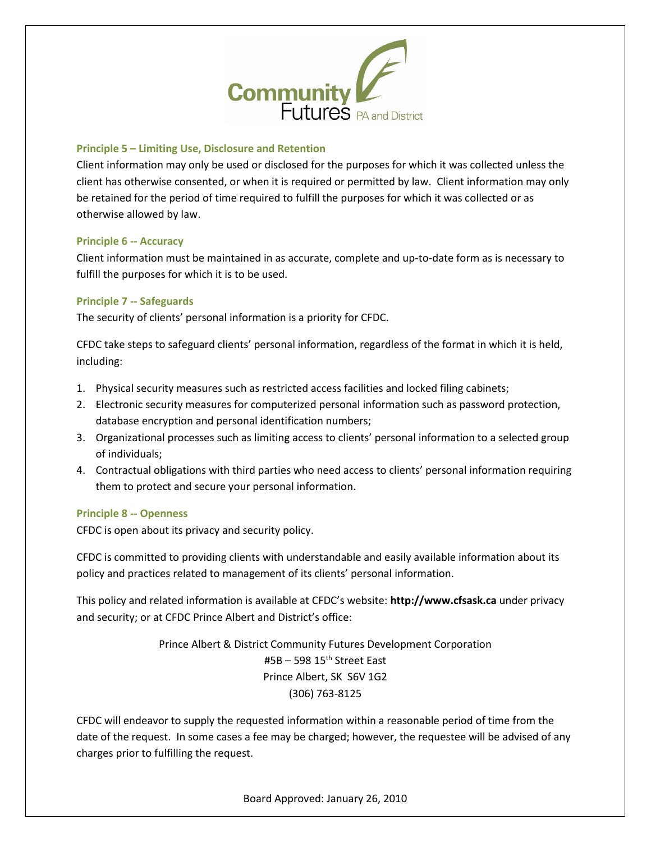

## **Principle 5 – Limiting Use, Disclosure and Retention**

Client information may only be used or disclosed for the purposes for which it was collected unless the client has otherwise consented, or when it is required or permitted by law. Client information may only be retained for the period of time required to fulfill the purposes for which it was collected or as otherwise allowed by law.

#### **Principle 6 -- Accuracy**

Client information must be maintained in as accurate, complete and up-to-date form as is necessary to fulfill the purposes for which it is to be used.

#### **Principle 7 -- Safeguards**

The security of clients' personal information is a priority for CFDC.

CFDC take steps to safeguard clients' personal information, regardless of the format in which it is held, including:

- 1. Physical security measures such as restricted access facilities and locked filing cabinets;
- 2. Electronic security measures for computerized personal information such as password protection, database encryption and personal identification numbers;
- 3. Organizational processes such as limiting access to clients' personal information to a selected group of individuals;
- 4. Contractual obligations with third parties who need access to clients' personal information requiring them to protect and secure your personal information.

## **Principle 8 -- Openness**

CFDC is open about its privacy and security policy.

CFDC is committed to providing clients with understandable and easily available information about its policy and practices related to management of its clients' personal information.

This policy and related information is available at CFDC's website: **http://www.cfsask.ca** under privacy and security; or at CFDC Prince Albert and District's office:

> Prince Albert & District Community Futures Development Corporation  $#5B - 598$  15<sup>th</sup> Street East Prince Albert, SK S6V 1G2 (306) 763-8125

CFDC will endeavor to supply the requested information within a reasonable period of time from the date of the request. In some cases a fee may be charged; however, the requestee will be advised of any charges prior to fulfilling the request.

Board Approved: January 26, 2010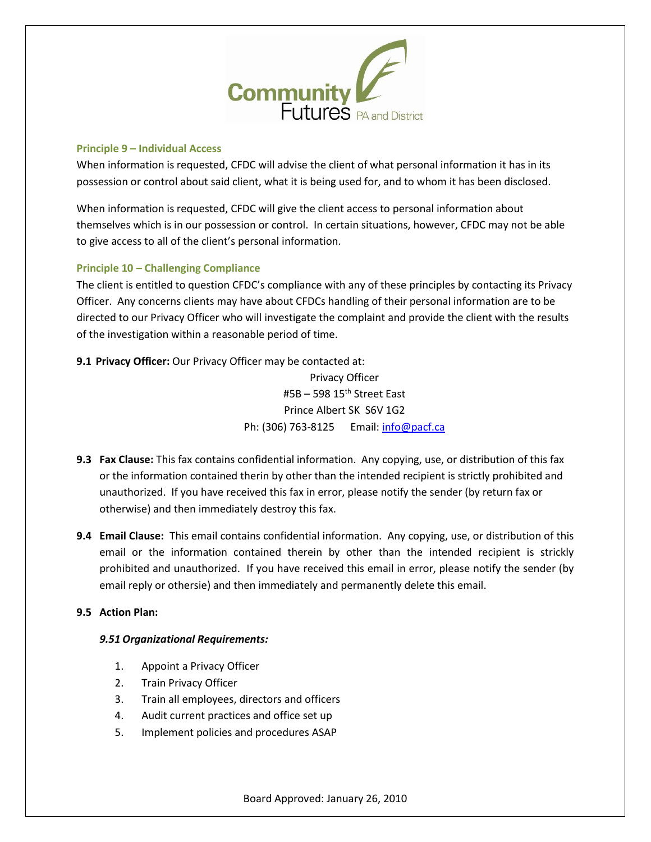

## **Principle 9 – Individual Access**

When information is requested, CFDC will advise the client of what personal information it has in its possession or control about said client, what it is being used for, and to whom it has been disclosed.

When information is requested, CFDC will give the client access to personal information about themselves which is in our possession or control. In certain situations, however, CFDC may not be able to give access to all of the client's personal information.

# **Principle 10 – Challenging Compliance**

The client is entitled to question CFDC's compliance with any of these principles by contacting its Privacy Officer. Any concerns clients may have about CFDCs handling of their personal information are to be directed to our Privacy Officer who will investigate the complaint and provide the client with the results of the investigation within a reasonable period of time.

**9.1 Privacy Officer:** Our Privacy Officer may be contacted at:

Privacy Officer  $#5B - 598$  15<sup>th</sup> Street East Prince Albert SK S6V 1G2 Ph: (306) 763-8125 Email: [info@pacf.ca](mailto:info@pacf.ca)

- **9.3 Fax Clause:** This fax contains confidential information. Any copying, use, or distribution of this fax or the information contained therin by other than the intended recipient is strictly prohibited and unauthorized. If you have received this fax in error, please notify the sender (by return fax or otherwise) and then immediately destroy this fax.
- **9.4 Email Clause:** This email contains confidential information. Any copying, use, or distribution of this email or the information contained therein by other than the intended recipient is strickly prohibited and unauthorized. If you have received this email in error, please notify the sender (by email reply or othersie) and then immediately and permanently delete this email.

# **9.5 Action Plan:**

# *9.51 Organizational Requirements:*

- 1. Appoint a Privacy Officer
- 2. Train Privacy Officer
- 3. Train all employees, directors and officers
- 4. Audit current practices and office set up
- 5. Implement policies and procedures ASAP